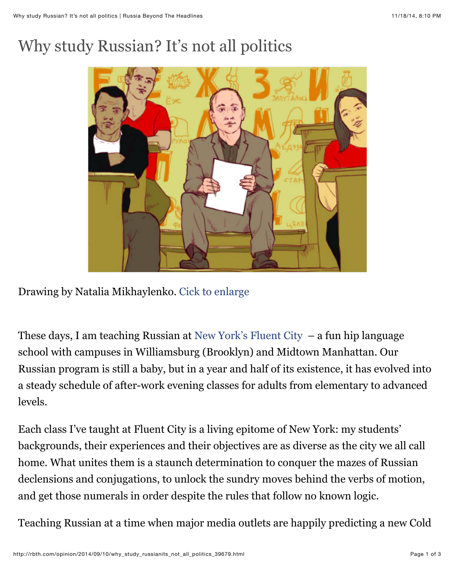## Why study Russian? It's not all politics



Drawing by Natalia Mikhaylenko. [Cick to enlarge](http://nl.media.rbth.ru/web/en-rbth/files/russkii.jpg)

These days, I am teaching Russian at [New York's Fluent City](http://www.fluentcity.com/classes/russian/manhattan) – a fun hip language school with campuses in Williamsburg (Brooklyn) and Midtown Manhattan. Our Russian program is still a baby, but in a year and half of its existence, it has evolved into a steady schedule of after-work evening classes for adults from elementary to advanced levels.

Each class I've taught at Fluent City is a living epitome of New York: my students' backgrounds, their experiences and their objectives are as diverse as the city we all call home. What unites them is a staunch determination to conquer the mazes of Russian declensions and conjugations, to unlock the sundry moves behind the verbs of motion, and get those numerals in order despite the rules that follow no known logic.

Teaching Russian at a time when major media outlets are happily predicting a new Cold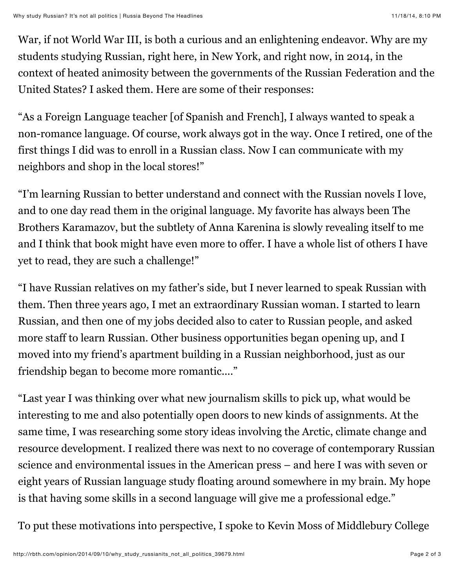War, if not World War III, is both a curious and an enlightening endeavor. Why are my students studying Russian, right here, in New York, and right now, in 2014, in the context of heated animosity between the governments of the Russian Federation and the United States? I asked them. Here are some of their responses:

"As a Foreign Language teacher [of Spanish and French], I always wanted to speak a non-romance language. Of course, work always got in the way. Once I retired, one of the first things I did was to enroll in a Russian class. Now I can communicate with my neighbors and shop in the local stores!"

"I'm learning Russian to better understand and connect with the Russian novels I love, and to one day read them in the original language. My favorite has always been The Brothers Karamazov, but the subtlety of Anna Karenina is slowly revealing itself to me and I think that book might have even more to offer. I have a whole list of others I have yet to read, they are such a challenge!"

"I have Russian relatives on my father's side, but I never learned to speak Russian with them. Then three years ago, I met an extraordinary Russian woman. I started to learn Russian, and then one of my jobs decided also to cater to Russian people, and asked more staff to learn Russian. Other business opportunities began opening up, and I moved into my friend's apartment building in a Russian neighborhood, just as our friendship began to become more romantic...."

"Last year I was thinking over what new journalism skills to pick up, what would be interesting to me and also potentially open doors to new kinds of assignments. At the same time, I was researching some story ideas involving the Arctic, climate change and resource development. I realized there was next to no coverage of contemporary Russian science and environmental issues in the American press – and here I was with seven or eight years of Russian language study floating around somewhere in my brain. My hope is that having some skills in a second language will give me a professional edge."

To put these motivations into perspective, I spoke to Kevin Moss of Middlebury College